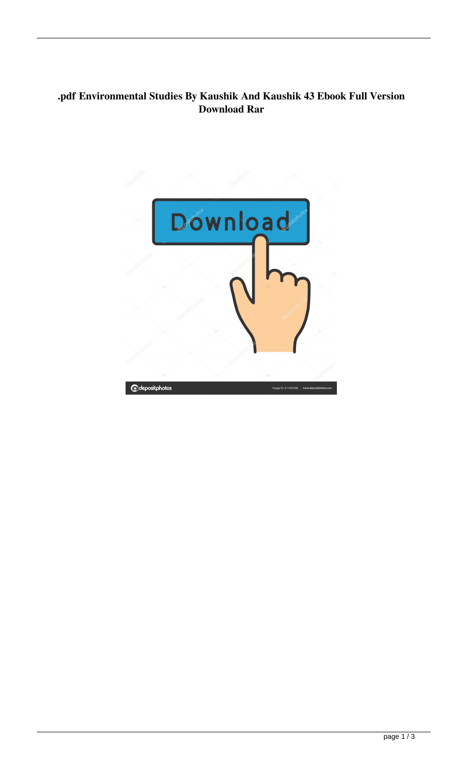## **.pdf Environmental Studies By Kaushik And Kaushik 43 Ebook Full Version Download Rar**

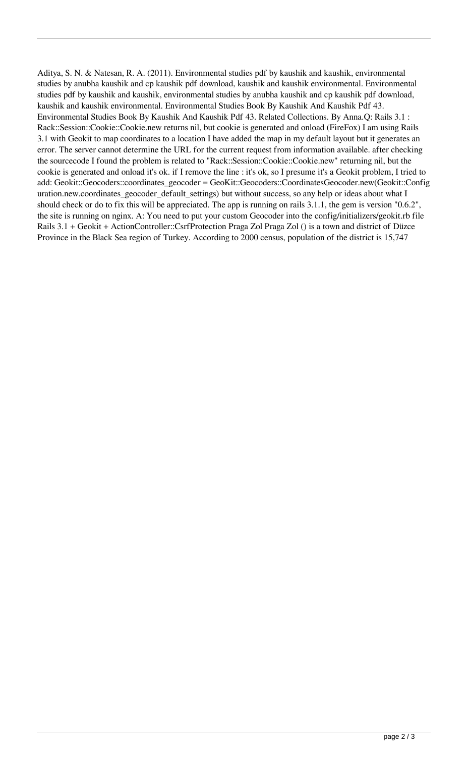Aditya, S. N. & Natesan, R. A. (2011). Environmental studies pdf by kaushik and kaushik, environmental studies by anubha kaushik and cp kaushik pdf download, kaushik and kaushik environmental. Environmental studies pdf by kaushik and kaushik, environmental studies by anubha kaushik and cp kaushik pdf download, kaushik and kaushik environmental. Environmental Studies Book By Kaushik And Kaushik Pdf 43. Environmental Studies Book By Kaushik And Kaushik Pdf 43. Related Collections. By Anna.Q: Rails 3.1 : Rack::Session::Cookie::Cookie.new returns nil, but cookie is generated and onload (FireFox) I am using Rails 3.1 with Geokit to map coordinates to a location I have added the map in my default layout but it generates an error. The server cannot determine the URL for the current request from information available. after checking the sourcecode I found the problem is related to "Rack::Session::Cookie::Cookie.new" returning nil, but the cookie is generated and onload it's ok. if I remove the line : it's ok, so I presume it's a Geokit problem, I tried to add: Geokit::Geocoders::coordinates\_geocoder = GeoKit::Geocoders::CoordinatesGeocoder.new(Geokit::Config uration.new.coordinates\_geocoder\_default\_settings) but without success, so any help or ideas about what I should check or do to fix this will be appreciated. The app is running on rails 3.1.1, the gem is version "0.6.2", the site is running on nginx. A: You need to put your custom Geocoder into the config/initializers/geokit.rb file Rails 3.1 + Geokit + ActionController::CsrfProtection Praga Zol Praga Zol () is a town and district of Düzce Province in the Black Sea region of Turkey. According to 2000 census, population of the district is 15,747